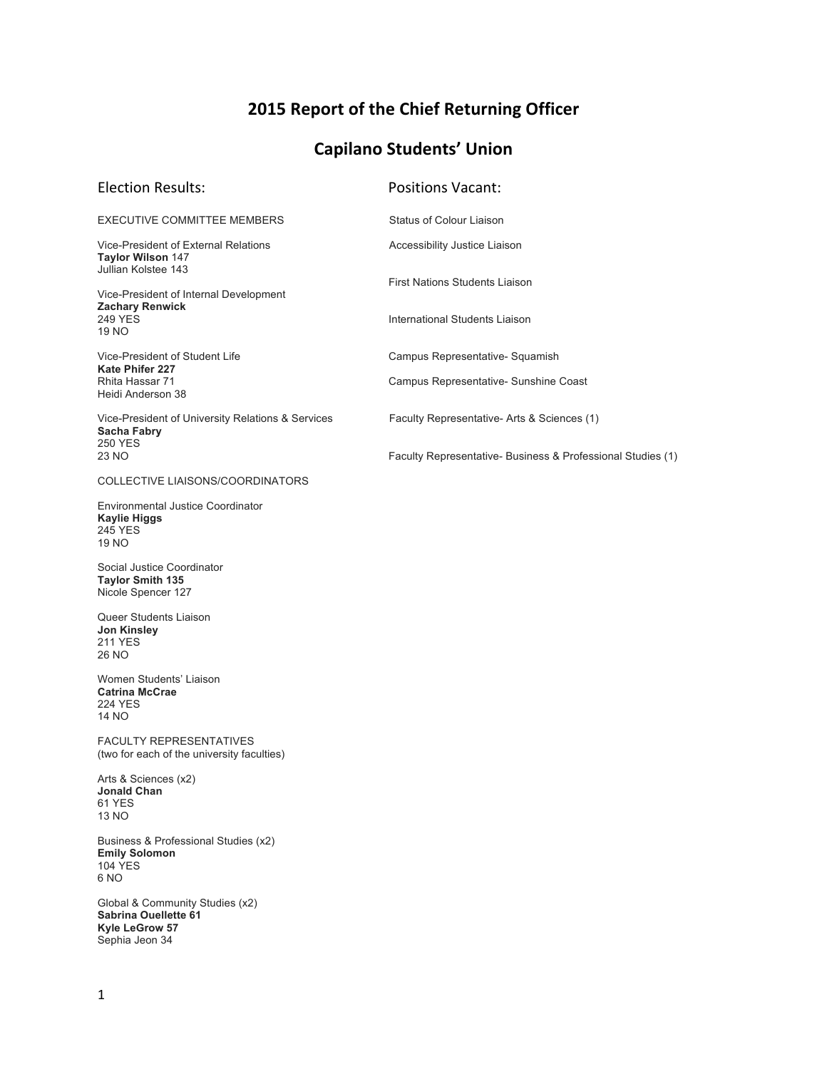# **2015 Report of the Chief Returning Officer**

# **Capilano Students' Union**

| <b>Election Results:</b>                                                                           | <b>Positions Vacant:</b>                                                 |
|----------------------------------------------------------------------------------------------------|--------------------------------------------------------------------------|
| EXECUTIVE COMMITTEE MEMBERS                                                                        | <b>Status of Colour Liaison</b>                                          |
| Vice-President of External Relations<br><b>Taylor Wilson 147</b><br>Jullian Kolstee 143            | Accessibility Justice Liaison                                            |
| Vice-President of Internal Development<br><b>Zachary Renwick</b><br><b>249 YES</b><br>19 NO        | <b>First Nations Students Liaison</b><br>International Students Liaison  |
| Vice-President of Student Life<br><b>Kate Phifer 227</b><br>Rhita Hassar 71<br>Heidi Anderson 38   | Campus Representative- Squamish<br>Campus Representative- Sunshine Coast |
| Vice-President of University Relations & Services<br>Sacha Fabry                                   | Faculty Representative- Arts & Sciences (1)                              |
| <b>250 YES</b><br>23 NO                                                                            | Faculty Representative- Business & Professional Studies (1)              |
| COLLECTIVE LIAISONS/COORDINATORS                                                                   |                                                                          |
| Environmental Justice Coordinator<br><b>Kaylie Higgs</b><br>245 YES<br><b>19 NO</b>                |                                                                          |
| Social Justice Coordinator<br><b>Taylor Smith 135</b><br>Nicole Spencer 127                        |                                                                          |
| Queer Students Liaison<br><b>Jon Kinsley</b><br><b>211 YES</b><br>26 NO                            |                                                                          |
| Women Students' Liaison<br><b>Catrina McCrae</b><br><b>224 YES</b><br>14 NO                        |                                                                          |
| <b>FACULTY REPRESENTATIVES</b><br>(two for each of the university faculties)                       |                                                                          |
| Arts & Sciences (x2)<br><b>Jonald Chan</b><br>61 YES<br>13 NO                                      |                                                                          |
| Business & Professional Studies (x2)<br><b>Emily Solomon</b><br><b>104 YES</b><br>6 <sub>NO</sub>  |                                                                          |
| Global & Community Studies (x2)<br>Sabrina Ouellette 61<br><b>Kyle LeGrow 57</b><br>Sephia Jeon 34 |                                                                          |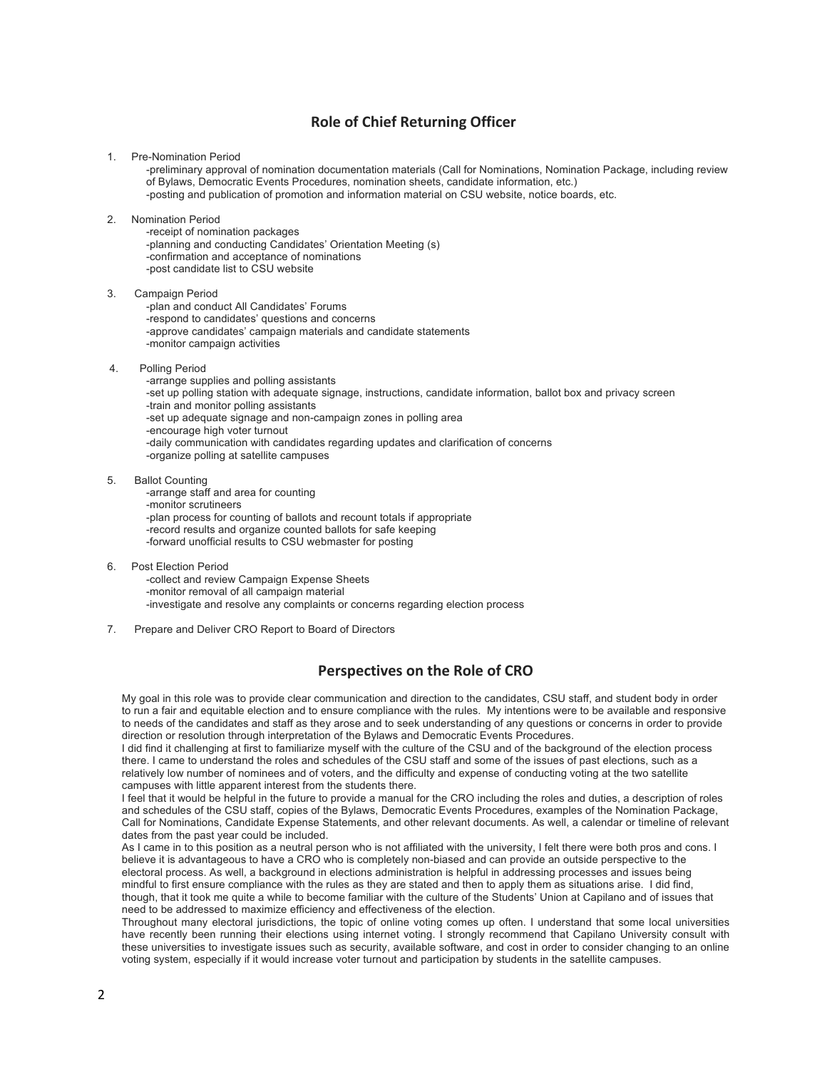# **Role of Chief Returning Officer**

1. Pre-Nomination Period

-preliminary approval of nomination documentation materials (Call for Nominations, Nomination Package, including review of Bylaws, Democratic Events Procedures, nomination sheets, candidate information, etc.) -posting and publication of promotion and information material on CSU website, notice boards, etc.

2. Nomination Period

-receipt of nomination packages -planning and conducting Candidates' Orientation Meeting (s) -confirmation and acceptance of nominations -post candidate list to CSU website

- 3. Campaign Period
	- -plan and conduct All Candidates' Forums -respond to candidates' questions and concerns -approve candidates' campaign materials and candidate statements -monitor campaign activities
- 4. Polling Period

-arrange supplies and polling assistants -set up polling station with adequate signage, instructions, candidate information, ballot box and privacy screen -train and monitor polling assistants -set up adequate signage and non-campaign zones in polling area -encourage high voter turnout -daily communication with candidates regarding updates and clarification of concerns -organize polling at satellite campuses

5. Ballot Counting

-arrange staff and area for counting -monitor scrutineers -plan process for counting of ballots and recount totals if appropriate -record results and organize counted ballots for safe keeping -forward unofficial results to CSU webmaster for posting

6. Post Election Period

-collect and review Campaign Expense Sheets -monitor removal of all campaign material -investigate and resolve any complaints or concerns regarding election process

7. Prepare and Deliver CRO Report to Board of Directors

## **Perspectives on the Role of CRO**

My goal in this role was to provide clear communication and direction to the candidates, CSU staff, and student body in order to run a fair and equitable election and to ensure compliance with the rules. My intentions were to be available and responsive to needs of the candidates and staff as they arose and to seek understanding of any questions or concerns in order to provide direction or resolution through interpretation of the Bylaws and Democratic Events Procedures.

I did find it challenging at first to familiarize myself with the culture of the CSU and of the background of the election process there. I came to understand the roles and schedules of the CSU staff and some of the issues of past elections, such as a relatively low number of nominees and of voters, and the difficulty and expense of conducting voting at the two satellite campuses with little apparent interest from the students there.

I feel that it would be helpful in the future to provide a manual for the CRO including the roles and duties, a description of roles and schedules of the CSU staff, copies of the Bylaws, Democratic Events Procedures, examples of the Nomination Package, Call for Nominations, Candidate Expense Statements, and other relevant documents. As well, a calendar or timeline of relevant dates from the past year could be included.

As I came in to this position as a neutral person who is not affiliated with the university, I felt there were both pros and cons. I believe it is advantageous to have a CRO who is completely non-biased and can provide an outside perspective to the electoral process. As well, a background in elections administration is helpful in addressing processes and issues being mindful to first ensure compliance with the rules as they are stated and then to apply them as situations arise. I did find, though, that it took me quite a while to become familiar with the culture of the Students' Union at Capilano and of issues that need to be addressed to maximize efficiency and effectiveness of the election.

Throughout many electoral jurisdictions, the topic of online voting comes up often. I understand that some local universities have recently been running their elections using internet voting. I strongly recommend that Capilano University consult with these universities to investigate issues such as security, available software, and cost in order to consider changing to an online voting system, especially if it would increase voter turnout and participation by students in the satellite campuses.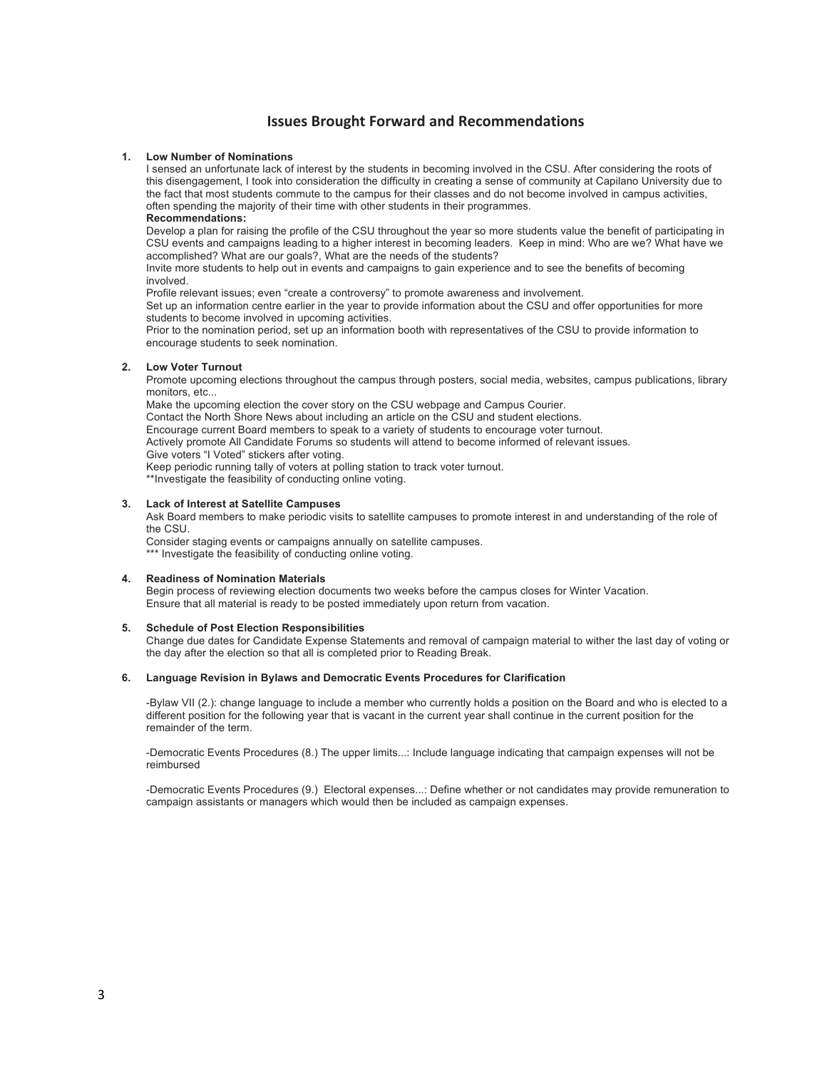## **Issues Brought Forward and Recommendations**

#### **1. Low Number of Nominations**

I sensed an unfortunate lack of interest by the students in becoming involved in the CSU. After considering the roots of this disengagement, I took into consideration the difficulty in creating a sense of community at Capilano University due to the fact that most students commute to the campus for their classes and do not become involved in campus activities, often spending the majority of their time with other students in their programmes.

#### **Recommendations:**

Develop a plan for raising the profile of the CSU throughout the year so more students value the benefit of participating in CSU events and campaigns leading to a higher interest in becoming leaders. Keep in mind: Who are we? What have we accomplished? What are our goals?, What are the needs of the students?

Invite more students to help out in events and campaigns to gain experience and to see the benefits of becoming involved.

Profile relevant issues; even "create a controversy" to promote awareness and involvement.

Set up an information centre earlier in the year to provide information about the CSU and offer opportunities for more students to become involved in upcoming activities.

Prior to the nomination period, set up an information booth with representatives of the CSU to provide information to encourage students to seek nomination.

#### **2. Low Voter Turnout**

Promote upcoming elections throughout the campus through posters, social media, websites, campus publications, library monitors, etc.

Make the upcoming election the cover story on the CSU webpage and Campus Courier.

Contact the North Shore News about including an article on the CSU and student elections.

Encourage current Board members to speak to a variety of students to encourage voter turnout. Actively promote All Candidate Forums so students will attend to become informed of relevant issues.

Give voters "I Voted" stickers after voting.

Keep periodic running tally of voters at polling station to track voter turnout.

\*\*Investigate the feasibility of conducting online voting.

### **3. Lack of Interest at Satellite Campuses**

Ask Board members to make periodic visits to satellite campuses to promote interest in and understanding of the role of the CSU.

Consider staging events or campaigns annually on satellite campuses. \*\*\* Investigate the feasibility of conducting online voting.

## **4. Readiness of Nomination Materials**

Begin process of reviewing election documents two weeks before the campus closes for Winter Vacation. Ensure that all material is ready to be posted immediately upon return from vacation.

## **5. Schedule of Post Election Responsibilities**

Change due dates for Candidate Expense Statements and removal of campaign material to wither the last day of voting or the day after the election so that all is completed prior to Reading Break.

#### **6. Language Revision in Bylaws and Democratic Events Procedures for Clarification**

-Bylaw VII (2.): change language to include a member who currently holds a position on the Board and who is elected to a different position for the following year that is vacant in the current year shall continue in the current position for the remainder of the term.

-Democratic Events Procedures (8.) The upper limits...: Include language indicating that campaign expenses will not be reimbursed

-Democratic Events Procedures (9.) Electoral expenses...: Define whether or not candidates may provide remuneration to campaign assistants or managers which would then be included as campaign expenses.